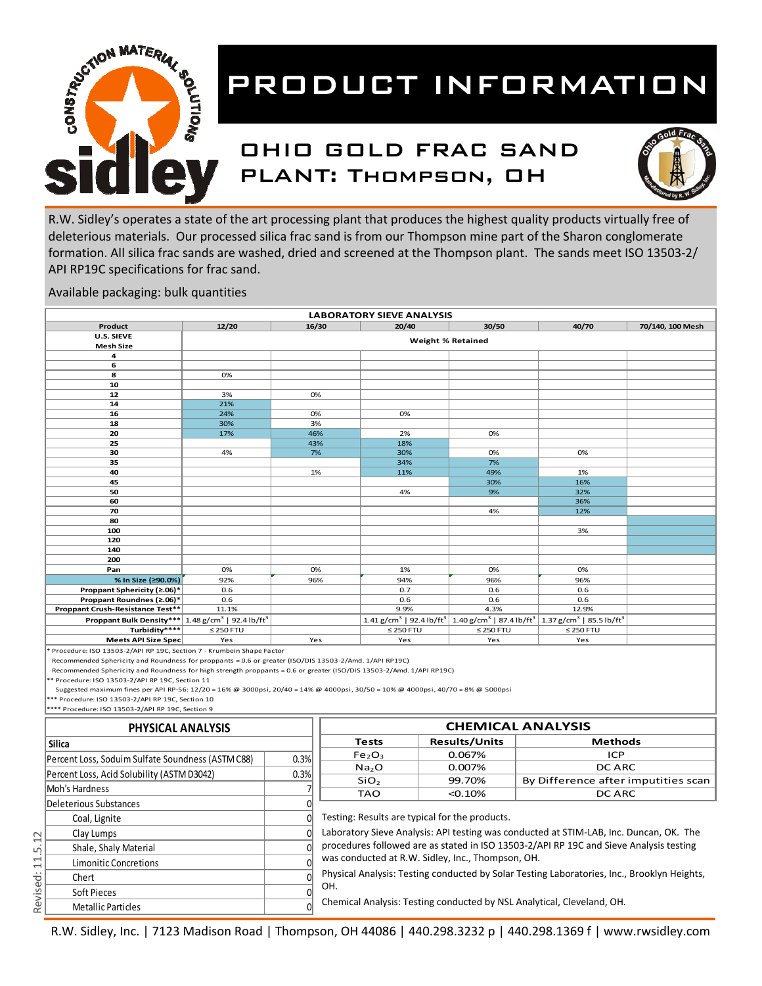

#### OHIO GOLD FRAC SAND PLANT: Thompson, OH



R.W. Sidley's operates a state of the art processing plant that produces the highest quality products virtually free of deleterious materials. Our processed silica frac sand is from our Thompson mine part of the Sharon conglomerate formation. All silica frac sands are washed, dried and screened at the Thompson plant. The sands meet ISO 13503-2/ API RP19C specifications for frac sand.

Available packaging: bulk quantities

|                                                                 | <b>LABORATORY SIEVE ANALYSIS</b> |                          |                |                                                                                                                                                          |                |                  |  |  |  |  |
|-----------------------------------------------------------------|----------------------------------|--------------------------|----------------|----------------------------------------------------------------------------------------------------------------------------------------------------------|----------------|------------------|--|--|--|--|
| Product                                                         | 12/20                            | 16/30                    | 20/40          | 30/50                                                                                                                                                    | 40/70          | 70/140, 100 Mesh |  |  |  |  |
| U.S. SIEVE                                                      |                                  | <b>Weight % Retained</b> |                |                                                                                                                                                          |                |                  |  |  |  |  |
| <b>Mesh Size</b>                                                |                                  |                          |                |                                                                                                                                                          |                |                  |  |  |  |  |
| 4                                                               |                                  |                          |                |                                                                                                                                                          |                |                  |  |  |  |  |
| 6                                                               |                                  |                          |                |                                                                                                                                                          |                |                  |  |  |  |  |
| 8                                                               | 0%                               |                          |                |                                                                                                                                                          |                |                  |  |  |  |  |
| 10                                                              |                                  |                          |                |                                                                                                                                                          |                |                  |  |  |  |  |
| 12                                                              | 3%                               | 0%                       |                |                                                                                                                                                          |                |                  |  |  |  |  |
| 14                                                              | 21%                              |                          |                |                                                                                                                                                          |                |                  |  |  |  |  |
| 16                                                              | 24%                              | 0%                       | 0%             |                                                                                                                                                          |                |                  |  |  |  |  |
| 18                                                              | 30%                              | 3%                       |                |                                                                                                                                                          |                |                  |  |  |  |  |
| 20                                                              | 17%                              | 46%                      | 2%             | 0%                                                                                                                                                       |                |                  |  |  |  |  |
| 25                                                              |                                  | 43%                      | 18%            |                                                                                                                                                          |                |                  |  |  |  |  |
| 30                                                              | 4%                               | 7%                       | 30%            | 0%                                                                                                                                                       | 0%             |                  |  |  |  |  |
| 35                                                              |                                  |                          | 34%            | 7%                                                                                                                                                       |                |                  |  |  |  |  |
| 40                                                              |                                  | 1%                       | 11%            | 49%                                                                                                                                                      | 1%             |                  |  |  |  |  |
| 45                                                              |                                  |                          |                | 30%                                                                                                                                                      | 16%            |                  |  |  |  |  |
| 50                                                              |                                  |                          | 4%             | 9%                                                                                                                                                       | 32%            |                  |  |  |  |  |
| 60                                                              |                                  |                          |                |                                                                                                                                                          | 36%            |                  |  |  |  |  |
| 70                                                              |                                  |                          |                | 4%                                                                                                                                                       | 12%            |                  |  |  |  |  |
| 80                                                              |                                  |                          |                |                                                                                                                                                          |                |                  |  |  |  |  |
| 100                                                             |                                  |                          |                |                                                                                                                                                          | 3%             |                  |  |  |  |  |
| 120                                                             |                                  |                          |                |                                                                                                                                                          |                |                  |  |  |  |  |
| 140                                                             |                                  |                          |                |                                                                                                                                                          |                |                  |  |  |  |  |
| 200                                                             |                                  |                          |                |                                                                                                                                                          |                |                  |  |  |  |  |
| Pan                                                             | 0%                               | 0%                       | 1%             | 0%                                                                                                                                                       | 0%             |                  |  |  |  |  |
| % In Size (≥90.0%)                                              | 92%                              | 96%                      | 94%            | 96%                                                                                                                                                      | 96%            |                  |  |  |  |  |
| Proppant Sphericity (≥.06)*                                     | 0.6                              |                          | 0.7            | 0.6                                                                                                                                                      | 0.6            |                  |  |  |  |  |
| Proppant Roundnes (≥.06)*                                       | 0.6                              |                          | 0.6            | 0.6                                                                                                                                                      | 0.6            |                  |  |  |  |  |
| Proppant Crush-Resistance Test**                                | 11.1%                            |                          | 9.9%           | 4.3%                                                                                                                                                     | 12.9%          |                  |  |  |  |  |
| Proppant Bulk Density*** $1.48 g/cm3$   92.4 lb/ft <sup>3</sup> |                                  |                          |                | $1.41$ g/cm <sup>3</sup>   92.4 lb/ft <sup>3</sup>   1.40 g/cm <sup>3</sup>   87.4 lb/ft <sup>3</sup>   1.37 g/cm <sup>3</sup>   85.5 lb/ft <sup>3</sup> |                |                  |  |  |  |  |
| Turbidity****                                                   | $\leq$ 250 FTU                   |                          | $\leq$ 250 FTU | $\leq$ 250 FTU                                                                                                                                           | $\leq$ 250 FTU |                  |  |  |  |  |
| Meets API Size Spec                                             | Yes                              | Yes                      | Yes            | Yes                                                                                                                                                      | Yes            |                  |  |  |  |  |

Procedure: ISO 13503-2/API RP 19C, Section 7 - Krumbein Shape Factor

Recommended Sphericity and Roundness for proppants = 0.6 or greater (ISO/DIS 13503‐2/Amd. 1/API RP19C)

Recommended Sphericity and Roundness for high strength proppants = 0.6 or greater (ISO/DIS 13503‐2/Amd. 1/API RP19C)

\*\* Procedure: ISO 13503‐2/API RP 19C, Section 11

Suggested maximum fines per API RP‐56: 12/20 = 16% @ 3000psi, 20/40 = 14% @ 4000psi, 30/50 = 10% @ 4000psi, 40/70 = 8% @ 5000psi

\*\*\* Procedure: ISO 13503‐2/API RP 19C, Section 10 \*\*\*\* Procedure: ISO 13503‐2/API RP 19C, Section 9

| PHYSICAL ANALYSIS                                 | <b>CHEMICAL ANALYSIS</b> |                                                                                                                                                  |                      |                                                                                        |  |  |
|---------------------------------------------------|--------------------------|--------------------------------------------------------------------------------------------------------------------------------------------------|----------------------|----------------------------------------------------------------------------------------|--|--|
| <b>Silica</b>                                     |                          | <b>Tests</b>                                                                                                                                     | <b>Results/Units</b> | <b>Methods</b>                                                                         |  |  |
| Percent Loss, Soduim Sulfate Soundness (ASTM C88) | 0.3%                     | Fe <sub>2</sub> O <sub>3</sub>                                                                                                                   | 0.067%               | <b>ICP</b>                                                                             |  |  |
|                                                   |                          | Na <sub>2</sub> O                                                                                                                                | 0.007%               | DC ARC                                                                                 |  |  |
| Percent Loss, Acid Solubility (ASTM D3042)        | 0.3%                     | SiO <sub>2</sub>                                                                                                                                 | 99.70%               | By Difference after imputities scan                                                    |  |  |
| Moh's Hardness                                    |                          | <b>TAO</b>                                                                                                                                       | $< 0.10\%$           | DC ARC                                                                                 |  |  |
| Deleterious Substances                            |                          |                                                                                                                                                  |                      |                                                                                        |  |  |
| Coal, Lignite                                     |                          | Testing: Results are typical for the products.                                                                                                   |                      |                                                                                        |  |  |
| Clay Lumps                                        |                          |                                                                                                                                                  |                      | Laboratory Sieve Analysis: API testing was conducted at STIM-LAB, Inc. Duncan, OK. The |  |  |
| Shale, Shaly Material                             |                          | procedures followed are as stated in ISO 13503-2/API RP 19C and Sieve Analysis testing                                                           |                      |                                                                                        |  |  |
| Limonitic Concretions                             |                          | was conducted at R.W. Sidley, Inc., Thompson, OH.<br>Physical Analysis: Testing conducted by Solar Testing Laboratories, Inc., Brooklyn Heights, |                      |                                                                                        |  |  |
| Chert                                             |                          |                                                                                                                                                  |                      |                                                                                        |  |  |
| Soft Pieces                                       |                          | OH.                                                                                                                                              |                      |                                                                                        |  |  |
| <b>Metallic Particles</b>                         |                          | Chemical Analysis: Testing conducted by NSL Analytical, Cleveland, OH.                                                                           |                      |                                                                                        |  |  |

R.W. Sidley, Inc. | 7123 Madison Road | Thompson, OH 44086 | 440.298.3232 p | 440.298.1369 f | www.rwsidley.com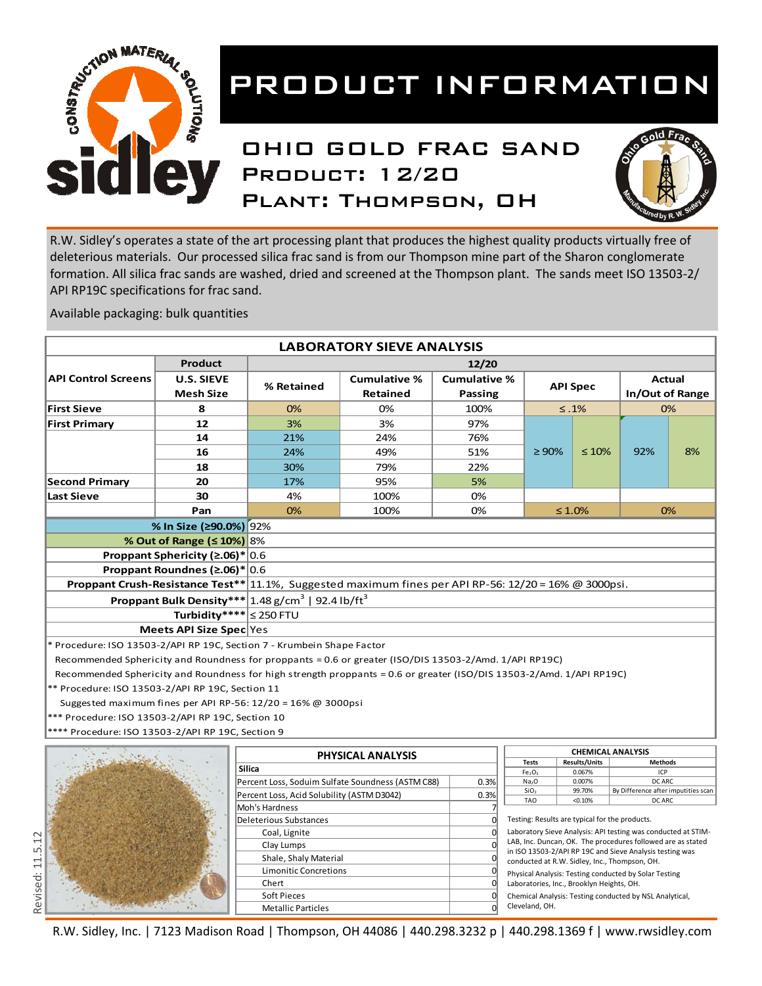

### OHIO GOLD FRAC SAND Product: 12/20 Plant: Thompson, OH



Chemical Analysis: Testing conducted by NSL Analytical,

Cleveland, OH.

R.W. Sidley's operates a state of the art processing plant that produces the highest quality products virtually free of deleterious materials. Our processed silica frac sand is from our Thompson mine part of the Sharon conglomerate formation. All silica frac sands are washed, dried and screened at the Thompson plant. The sands meet ISO 13503-2/ API RP19C specifications for frac sand.

Available packaging: bulk quantities

|                                                                                                                      |                                                         |                                                    | <b>LABORATORY SIEVE ANALYSIS</b>                  |                     |                                                                                                                         |                                                |                                               |                 |  |
|----------------------------------------------------------------------------------------------------------------------|---------------------------------------------------------|----------------------------------------------------|---------------------------------------------------|---------------------|-------------------------------------------------------------------------------------------------------------------------|------------------------------------------------|-----------------------------------------------|-----------------|--|
|                                                                                                                      | <b>Product</b>                                          |                                                    |                                                   | 12/20               |                                                                                                                         |                                                |                                               |                 |  |
| <b>API Control Screens</b>                                                                                           | <b>U.S. SIEVE</b>                                       |                                                    | <b>Cumulative %</b>                               | <b>Cumulative %</b> |                                                                                                                         |                                                |                                               | Actual          |  |
|                                                                                                                      | <b>Mesh Size</b>                                        | % Retained                                         | <b>Retained</b>                                   | Passing             |                                                                                                                         | <b>API Spec</b>                                |                                               | In/Out of Range |  |
| <b>First Sieve</b>                                                                                                   | 8                                                       | 0%                                                 | 0%                                                | 100%                |                                                                                                                         | $\leq .1\%$                                    |                                               | 0%              |  |
| <b>First Primary</b>                                                                                                 | 12                                                      | 3%                                                 | 3%                                                | 97%                 |                                                                                                                         |                                                |                                               |                 |  |
|                                                                                                                      | 14                                                      | 21%                                                | 24%                                               | 76%                 |                                                                                                                         |                                                |                                               |                 |  |
|                                                                                                                      |                                                         |                                                    |                                                   |                     |                                                                                                                         |                                                | 92%                                           |                 |  |
|                                                                                                                      | 16                                                      | 24%                                                | 49%                                               | 51%                 | $\geq 90\%$                                                                                                             | $\leq 10\%$                                    |                                               | 8%              |  |
|                                                                                                                      | 18                                                      | 30%                                                | 79%                                               | 22%                 |                                                                                                                         |                                                |                                               |                 |  |
| <b>Second Primary</b>                                                                                                | 20                                                      | 17%                                                | 95%                                               | 5%                  |                                                                                                                         |                                                |                                               |                 |  |
| <b>Last Sieve</b>                                                                                                    | 30                                                      | 4%                                                 | 100%                                              | 0%                  |                                                                                                                         |                                                |                                               |                 |  |
|                                                                                                                      | Pan                                                     | 0%                                                 | 100%                                              | 0%                  |                                                                                                                         | $\leq 1.0\%$                                   |                                               | 0%              |  |
|                                                                                                                      | % In Size (≥90.0%) 92%                                  |                                                    |                                                   |                     |                                                                                                                         |                                                |                                               |                 |  |
|                                                                                                                      | % Out of Range (≤ 10%) 8%                               |                                                    |                                                   |                     |                                                                                                                         |                                                |                                               |                 |  |
| Proppant Sphericity ( $\geq 0.06$ )* 0.6                                                                             |                                                         |                                                    |                                                   |                     |                                                                                                                         |                                                |                                               |                 |  |
| Proppant Roundnes (≥.06)*<br> 0.6                                                                                    |                                                         |                                                    |                                                   |                     |                                                                                                                         |                                                |                                               |                 |  |
| Proppant Crush-Resistance Test**<br>11.1%, Suggested maximum fines per API RP-56: 12/20 = 16% @ 3000psi.             |                                                         |                                                    |                                                   |                     |                                                                                                                         |                                                |                                               |                 |  |
|                                                                                                                      | <b>Proppant Bulk Density***</b>                         | $1.48$ g/cm <sup>3</sup>   92.4 lb/ft <sup>3</sup> |                                                   |                     |                                                                                                                         |                                                |                                               |                 |  |
|                                                                                                                      |                                                         |                                                    |                                                   |                     |                                                                                                                         |                                                |                                               |                 |  |
|                                                                                                                      | Turbidity**** $ \leq 250$ FTU                           |                                                    |                                                   |                     |                                                                                                                         |                                                |                                               |                 |  |
|                                                                                                                      | Meets API Size Spec Yes                                 |                                                    |                                                   |                     |                                                                                                                         |                                                |                                               |                 |  |
| * Procedure: ISO 13503-2/API RP 19C, Section 7 - Krumbein Shape Factor                                               |                                                         |                                                    |                                                   |                     |                                                                                                                         |                                                |                                               |                 |  |
| Recommended Sphericity and Roundness for proppants = 0.6 or greater (ISO/DIS 13503-2/Amd. 1/API RP19C)               |                                                         |                                                    |                                                   |                     |                                                                                                                         |                                                |                                               |                 |  |
| Recommended Sphericity and Roundness for high strength proppants = 0.6 or greater (ISO/DIS 13503-2/Amd. 1/API RP19C) |                                                         |                                                    |                                                   |                     |                                                                                                                         |                                                |                                               |                 |  |
| ** Procedure: ISO 13503-2/API RP 19C, Section 11                                                                     |                                                         |                                                    |                                                   |                     |                                                                                                                         |                                                |                                               |                 |  |
| Suggested maximum fines per API RP-56: $12/20 = 16\%$ @ 3000psi                                                      |                                                         |                                                    |                                                   |                     |                                                                                                                         |                                                |                                               |                 |  |
| *** Procedure: ISO 13503-2/API RP 19C, Section 10                                                                    |                                                         |                                                    |                                                   |                     |                                                                                                                         |                                                |                                               |                 |  |
|                                                                                                                      | Procedure: ISO 13503-2/API RP 19C, Section 9            |                                                    |                                                   |                     |                                                                                                                         |                                                |                                               |                 |  |
|                                                                                                                      |                                                         |                                                    |                                                   |                     |                                                                                                                         | <b>CHEMICAL ANALYSIS</b>                       |                                               |                 |  |
|                                                                                                                      |                                                         |                                                    | PHYSICAL ANALYSIS                                 |                     | <b>Tests</b>                                                                                                            | Results/Units                                  | <b>Methods</b>                                |                 |  |
|                                                                                                                      |                                                         | <b>Silica</b>                                      |                                                   |                     | Fe <sub>2</sub> O <sub>3</sub>                                                                                          | 0.067%                                         | ICP                                           |                 |  |
|                                                                                                                      |                                                         |                                                    | Percent Loss, Soduim Sulfate Soundness (ASTM C88) | 0.3%                | Na <sub>2</sub> O<br>SiO <sub>2</sub>                                                                                   | 0.007%<br>99.70%                               | DC ARC<br>By Difference after imputities scan |                 |  |
|                                                                                                                      |                                                         | Percent Loss, Acid Solubility (ASTM D3042)         |                                                   | 0.3%                | <b>TAO</b>                                                                                                              | < 0.10%                                        | DC ARC                                        |                 |  |
|                                                                                                                      |                                                         | Moh's Hardness                                     |                                                   |                     |                                                                                                                         |                                                |                                               |                 |  |
|                                                                                                                      |                                                         |                                                    | $\Omega$<br>Deleterious Substances                |                     |                                                                                                                         | Testing: Results are typical for the products. |                                               |                 |  |
|                                                                                                                      |                                                         | Coal, Lignite                                      |                                                   |                     | Laboratory Sieve Analysis: API testing was conducted at STIM-                                                           |                                                |                                               |                 |  |
|                                                                                                                      |                                                         | Clay Lumps                                         |                                                   | $\Omega$            | LAB, Inc. Duncan, OK. The procedures followed are as stated<br>in ISO 13503-2/API RP 19C and Sieve Analysis testing was |                                                |                                               |                 |  |
|                                                                                                                      |                                                         | Shale, Shaly Material                              |                                                   |                     | conducted at R.W. Sidley, Inc., Thompson, OH.                                                                           |                                                |                                               |                 |  |
|                                                                                                                      |                                                         | <b>Limonitic Concretions</b>                       |                                                   |                     | Physical Analysis: Testing conducted by Solar Testing                                                                   |                                                |                                               |                 |  |
|                                                                                                                      | Chert<br>0<br>Laboratories, Inc., Brooklyn Heights, OH. |                                                    |                                                   |                     |                                                                                                                         |                                                |                                               |                 |  |

R.W. Sidley, Inc. | 7123 Madison Road | Thompson, OH 44086 | 440.298.3232 p | 440.298.1369 f | www.rwsidley.com

Chert 0 Soft Pieces and the contract of the contract of the contract of the contract of the contract of the contract of the contract of the contract of the contract of the contract of the contract of the contract of the contract o Metallic Particles 0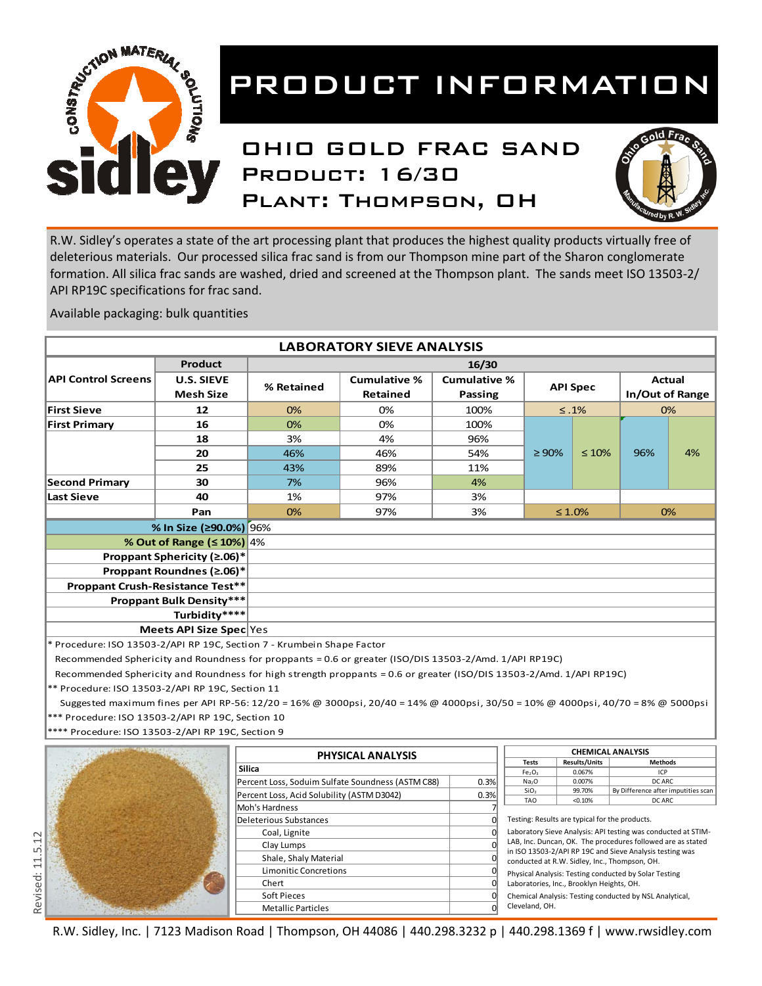

### OHIO GOLD FRAC SAND Product: 16/30 Plant: Thompson, OH



R.W. Sidley's operates a state of the art processing plant that produces the highest quality products virtually free of deleterious materials. Our processed silica frac sand is from our Thompson mine part of the Sharon conglomerate formation. All silica frac sands are washed, dried and screened at the Thompson plant. The sands meet ISO 13503-2/ API RP19C specifications for frac sand.

Available packaging: bulk quantities

|                                                                                                                      |                                       |                                            | <b>LABORATORY SIEVE ANALYSIS</b>                                                                                                 |                                |                                                     |                      |                                     |    |  |  |
|----------------------------------------------------------------------------------------------------------------------|---------------------------------------|--------------------------------------------|----------------------------------------------------------------------------------------------------------------------------------|--------------------------------|-----------------------------------------------------|----------------------|-------------------------------------|----|--|--|
|                                                                                                                      | <b>Product</b>                        |                                            |                                                                                                                                  | 16/30                          |                                                     |                      |                                     |    |  |  |
| <b>API Control Screens</b>                                                                                           | <b>U.S. SIEVE</b><br><b>Mesh Size</b> | % Retained                                 | <b>Cumulative %</b><br><b>Retained</b>                                                                                           | <b>Cumulative %</b><br>Passing |                                                     | <b>API Spec</b>      | Actual<br>In/Out of Range           |    |  |  |
| <b>First Sieve</b>                                                                                                   | 12                                    | 0%                                         | 0%                                                                                                                               | 100%                           |                                                     | $\leq .1\%$          |                                     | 0% |  |  |
| <b>First Primary</b>                                                                                                 | 16                                    | 0%                                         | 0%                                                                                                                               | 100%                           |                                                     |                      |                                     |    |  |  |
|                                                                                                                      | 18                                    | 3%                                         | 4%                                                                                                                               | 96%                            |                                                     |                      |                                     |    |  |  |
|                                                                                                                      | 20                                    | 46%                                        | 46%                                                                                                                              | 54%                            | $\geq 90\%$                                         | $\leq 10\%$          | 96%                                 | 4% |  |  |
|                                                                                                                      | 25                                    | 43%                                        | 89%                                                                                                                              | 11%                            |                                                     |                      |                                     |    |  |  |
| <b>Second Primary</b>                                                                                                | 30                                    | 7%                                         | 96%                                                                                                                              | 4%                             |                                                     |                      |                                     |    |  |  |
| <b>Last Sieve</b>                                                                                                    | 40                                    | 1%                                         | 97%                                                                                                                              | 3%                             |                                                     |                      |                                     |    |  |  |
|                                                                                                                      | Pan                                   | 0%                                         | 97%                                                                                                                              | 3%                             |                                                     | $\leq 1.0\%$         |                                     | 0% |  |  |
|                                                                                                                      | % In Size (≥90.0%) 96%                |                                            |                                                                                                                                  |                                |                                                     |                      |                                     |    |  |  |
|                                                                                                                      | % Out of Range (≤ 10%) 4%             |                                            |                                                                                                                                  |                                |                                                     |                      |                                     |    |  |  |
| Proppant Sphericity (≥.06)*                                                                                          |                                       |                                            |                                                                                                                                  |                                |                                                     |                      |                                     |    |  |  |
|                                                                                                                      | Proppant Roundnes (≥.06)*             |                                            |                                                                                                                                  |                                |                                                     |                      |                                     |    |  |  |
|                                                                                                                      | Proppant Crush-Resistance Test**      |                                            |                                                                                                                                  |                                |                                                     |                      |                                     |    |  |  |
|                                                                                                                      | <b>Proppant Bulk Density***</b>       |                                            |                                                                                                                                  |                                |                                                     |                      |                                     |    |  |  |
|                                                                                                                      | Turbidity****                         |                                            |                                                                                                                                  |                                |                                                     |                      |                                     |    |  |  |
|                                                                                                                      | Meets API Size Spec Yes               |                                            |                                                                                                                                  |                                |                                                     |                      |                                     |    |  |  |
| * Procedure: ISO 13503-2/API RP 19C, Section 7 - Krumbein Shape Factor                                               |                                       |                                            |                                                                                                                                  |                                |                                                     |                      |                                     |    |  |  |
| Recommended Sphericity and Roundness for proppants = 0.6 or greater (ISO/DIS 13503-2/Amd. 1/API RP19C)               |                                       |                                            |                                                                                                                                  |                                |                                                     |                      |                                     |    |  |  |
| Recommended Sphericity and Roundness for high strength proppants = 0.6 or greater (ISO/DIS 13503-2/Amd. 1/API RP19C) |                                       |                                            |                                                                                                                                  |                                |                                                     |                      |                                     |    |  |  |
|                                                                                                                      |                                       |                                            |                                                                                                                                  |                                |                                                     |                      |                                     |    |  |  |
| ** Procedure: ISO 13503-2/API RP 19C, Section 11                                                                     |                                       |                                            |                                                                                                                                  |                                |                                                     |                      |                                     |    |  |  |
|                                                                                                                      |                                       |                                            | Suggested maximum fines per API RP-56: 12/20 = 16% @ 3000psi, 20/40 = 14% @ 4000psi, 30/50 = 10% @ 4000psi, 40/70 = 8% @ 5000psi |                                |                                                     |                      |                                     |    |  |  |
| *** Procedure: ISO 13503-2/API RP 19C, Section 10                                                                    |                                       |                                            |                                                                                                                                  |                                |                                                     |                      |                                     |    |  |  |
| **** Procedure: ISO 13503-2/API RP 19C, Section 9                                                                    |                                       |                                            |                                                                                                                                  |                                |                                                     |                      |                                     |    |  |  |
|                                                                                                                      |                                       |                                            | PHYSICAL ANALYSIS                                                                                                                |                                | <b>CHEMICAL ANALYSIS</b>                            |                      |                                     |    |  |  |
|                                                                                                                      |                                       | <b>Silica</b>                              |                                                                                                                                  |                                | <b>Tests</b>                                        | <b>Results/Units</b> | <b>Methods</b>                      |    |  |  |
|                                                                                                                      |                                       |                                            | Percent Loss, Soduim Sulfate Soundness (ASTM C88)                                                                                | 0.3%                           | Fe <sub>2</sub> O <sub>3</sub><br>Na <sub>2</sub> O | 0.067%<br>0.007%     | ICP<br>DC ARC                       |    |  |  |
|                                                                                                                      |                                       | Percent Loss, Acid Solubility (ASTM D3042) |                                                                                                                                  | 0.3%                           | SiO <sub>2</sub>                                    | 99.70%               | By Difference after imputities scan |    |  |  |
|                                                                                                                      |                                       | Moh's Hardness                             |                                                                                                                                  |                                | <b>TAO</b>                                          | < 0.10%              | DC ARC                              |    |  |  |

Revised: 11.5.12 Revised: 11.5.12

R.W. Sidley, Inc. | 7123 Madison Road | Thompson, OH 44086 | 440.298.3232 p | 440.298.1369 f | www.rwsidley.com

Deleterious Substances 0 Coal, Lignite 0 Clay Lumps 0 Shale, Shaly Material 0 Limonitic Concretions 0 Chert 0 Soft Pieces and the contract of the contract of the contract of the contract of the contract of the contract of the contract of the contract of the contract of the contract of the contract of the contract of the contract o Metallic Particles 0

Testing: Results are typical for the products.

Cleveland, OH.

Laboratory Sieve Analysis: API testing was conducted at STIM‐ LAB, Inc. Duncan, OK. The procedures followed are as stated in ISO 13503‐2/API RP 19C and Sieve Analysis testing was conducted at R.W. Sidley, Inc., Thompson, OH. Physical Analysis: Testing conducted by Solar Testing Laboratories, Inc., Brooklyn Heights, OH.

Chemical Analysis: Testing conducted by NSL Analytical,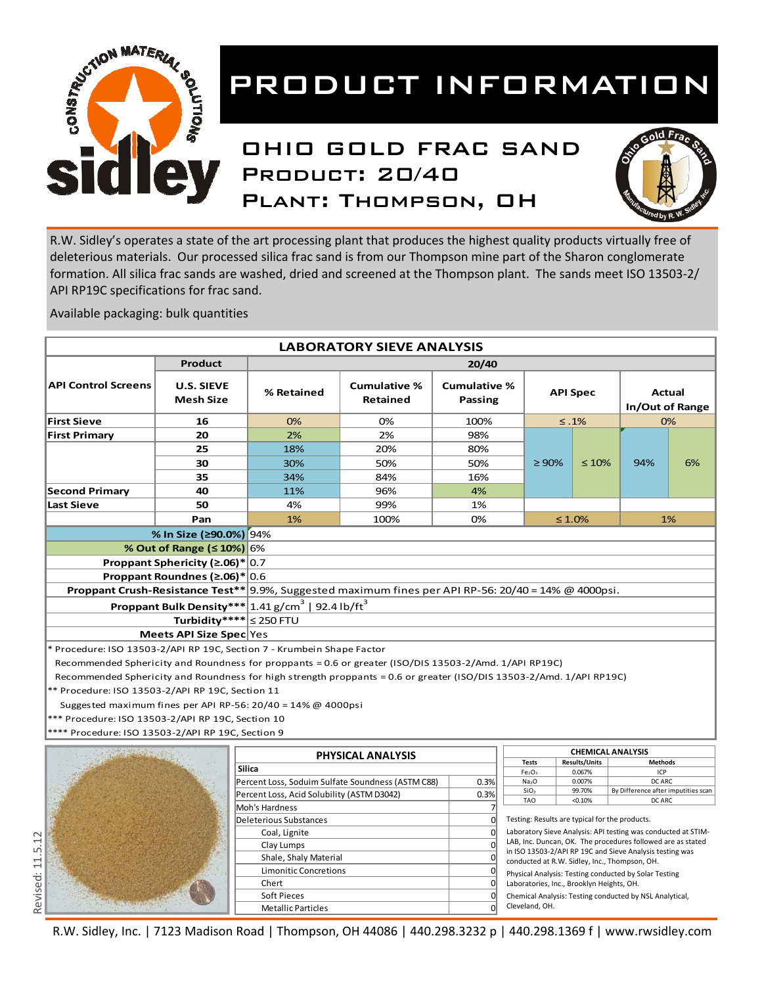

### OHIO GOLD FRAC SAND PRODUCT: 20/40 Plant: Thompson, OH



R.W. Sidley's operates a state of the art processing plant that produces the highest quality products virtually free of deleterious materials. Our processed silica frac sand is from our Thompson mine part of the Sharon conglomerate formation. All silica frac sands are washed, dried and screened at the Thompson plant. The sands meet ISO 13503-2/ API RP19C specifications for frac sand.

Available packaging: bulk quantities

|                                                                                                                      | <b>LABORATORY SIEVE ANALYSIS</b>      |                                                                 |                                        |                                |                                                                                                                         |                                |                                     |        |  |
|----------------------------------------------------------------------------------------------------------------------|---------------------------------------|-----------------------------------------------------------------|----------------------------------------|--------------------------------|-------------------------------------------------------------------------------------------------------------------------|--------------------------------|-------------------------------------|--------|--|
|                                                                                                                      | <b>Product</b>                        |                                                                 |                                        | 20/40                          |                                                                                                                         |                                |                                     |        |  |
| <b>API Control Screens</b>                                                                                           | <b>U.S. SIEVE</b><br><b>Mesh Size</b> | % Retained                                                      | <b>Cumulative %</b><br><b>Retained</b> | <b>Cumulative %</b><br>Passing |                                                                                                                         | <b>API Spec</b>                | In/Out of Range                     | Actual |  |
| <b>First Sieve</b>                                                                                                   | 16                                    | 0%                                                              | 0%                                     | 100%                           |                                                                                                                         | $\leq .1\%$                    |                                     | 0%     |  |
| <b>First Primary</b>                                                                                                 | 20                                    | 2%                                                              | 2%                                     | 98%                            |                                                                                                                         |                                |                                     |        |  |
|                                                                                                                      | 25                                    | 18%                                                             | 20%                                    | 80%                            |                                                                                                                         |                                |                                     |        |  |
|                                                                                                                      | 30                                    | 30%                                                             | 50%                                    | 50%                            | $\geq 90\%$                                                                                                             | $\leq 10\%$                    | 94%                                 | 6%     |  |
|                                                                                                                      | 35                                    | 34%                                                             | 84%                                    | 16%                            |                                                                                                                         |                                |                                     |        |  |
| <b>Second Primary</b>                                                                                                | 40                                    | 11%                                                             | 96%                                    | 4%                             |                                                                                                                         |                                |                                     |        |  |
| <b>Last Sieve</b>                                                                                                    | 50                                    | 4%                                                              | 99%                                    | 1%                             |                                                                                                                         |                                |                                     |        |  |
|                                                                                                                      | Pan                                   | 1%                                                              | 100%                                   | 0%                             |                                                                                                                         | $\leq 1.0\%$                   |                                     | 1%     |  |
|                                                                                                                      | % In Size (≥90.0%) 94%                |                                                                 |                                        |                                |                                                                                                                         |                                |                                     |        |  |
|                                                                                                                      |                                       |                                                                 |                                        |                                |                                                                                                                         |                                |                                     |        |  |
|                                                                                                                      | <b>% Out of Range (≤ 10%)</b> 6%      |                                                                 |                                        |                                |                                                                                                                         |                                |                                     |        |  |
| Proppant Sphericity ( $\geq 0.06$ )* 0.7                                                                             |                                       |                                                                 |                                        |                                |                                                                                                                         |                                |                                     |        |  |
| Proppant Roundnes ( $\geq 0.06$ )* 0.6                                                                               |                                       |                                                                 |                                        |                                |                                                                                                                         |                                |                                     |        |  |
| Proppant Crush-Resistance Test** 9.9%, Suggested maximum fines per API RP-56: 20/40 = 14% @ 4000psi.                 |                                       |                                                                 |                                        |                                |                                                                                                                         |                                |                                     |        |  |
|                                                                                                                      | <b>Proppant Bulk Density***</b>       | $1.41$ g/cm <sup>3</sup>   92.4 lb/ft <sup>3</sup>              |                                        |                                |                                                                                                                         |                                |                                     |        |  |
|                                                                                                                      | Turbidity**** $ \leq 250$ FTU         |                                                                 |                                        |                                |                                                                                                                         |                                |                                     |        |  |
|                                                                                                                      | Meets API Size Spec Yes               |                                                                 |                                        |                                |                                                                                                                         |                                |                                     |        |  |
| * Procedure: ISO 13503-2/API RP 19C, Section 7 - Krumbein Shape Factor                                               |                                       |                                                                 |                                        |                                |                                                                                                                         |                                |                                     |        |  |
| Recommended Sphericity and Roundness for proppants = 0.6 or greater (ISO/DIS 13503-2/Amd. 1/API RP19C)               |                                       |                                                                 |                                        |                                |                                                                                                                         |                                |                                     |        |  |
| Recommended Sphericity and Roundness for high strength proppants = 0.6 or greater (ISO/DIS 13503-2/Amd. 1/API RP19C) |                                       |                                                                 |                                        |                                |                                                                                                                         |                                |                                     |        |  |
| ** Procedure: ISO 13503-2/API RP 19C, Section 11                                                                     |                                       |                                                                 |                                        |                                |                                                                                                                         |                                |                                     |        |  |
|                                                                                                                      |                                       | Suggested maximum fines per API RP-56: $20/40 = 14\%$ @ 4000psi |                                        |                                |                                                                                                                         |                                |                                     |        |  |
| *** Procedure: ISO 13503-2/API RP 19C, Section 10                                                                    |                                       |                                                                 |                                        |                                |                                                                                                                         |                                |                                     |        |  |
| **** Procedure: ISO 13503-2/API RP 19C, Section 9                                                                    |                                       |                                                                 |                                        |                                |                                                                                                                         |                                |                                     |        |  |
|                                                                                                                      |                                       |                                                                 |                                        |                                |                                                                                                                         |                                |                                     |        |  |
|                                                                                                                      |                                       |                                                                 | <b>PHYSICAL ANALYSIS</b>               |                                | <b>CHEMICAL ANALYSIS</b>                                                                                                |                                |                                     |        |  |
|                                                                                                                      |                                       | <b>Silica</b>                                                   |                                        |                                | <b>Tests</b><br>Fe <sub>2</sub> O <sub>3</sub>                                                                          | <b>Results/Units</b><br>0.067% | <b>Methods</b><br>ICP               |        |  |
|                                                                                                                      |                                       | Percent Loss, Soduim Sulfate Soundness (ASTM C88)               |                                        | 0.3%                           | Na <sub>2</sub> O                                                                                                       | 0.007%                         | DC ARC                              |        |  |
|                                                                                                                      |                                       | Percent Loss, Acid Solubility (ASTM D3042)                      |                                        | 0.3%                           | SiO <sub>2</sub>                                                                                                        | 99.70%                         | By Difference after imputities scan |        |  |
|                                                                                                                      |                                       | Moh's Hardness                                                  |                                        |                                | <b>TAO</b>                                                                                                              | < 0.10%                        | DC ARC                              |        |  |
|                                                                                                                      |                                       | Deleterious Substances                                          |                                        | $\Omega$                       | Testing: Results are typical for the products.                                                                          |                                |                                     |        |  |
|                                                                                                                      |                                       | Coal, Lignite                                                   |                                        | $\Omega$                       | Laboratory Sieve Analysis: API testing was conducted at STIM-                                                           |                                |                                     |        |  |
|                                                                                                                      |                                       | Clay Lumps                                                      |                                        | C                              | LAB, Inc. Duncan, OK. The procedures followed are as stated<br>in ISO 13503-2/API RP 19C and Sieve Analysis testing was |                                |                                     |        |  |
|                                                                                                                      |                                       | Shale, Shaly Material                                           |                                        | $\Omega$                       | conducted at R.W. Sidley, Inc., Thompson, OH.                                                                           |                                |                                     |        |  |
|                                                                                                                      |                                       | Limonitic Concretions                                           |                                        |                                | Physical Analysis: Testing conducted by Solar Testing                                                                   |                                |                                     |        |  |
|                                                                                                                      |                                       | Chert                                                           |                                        | $\Omega$                       | Laboratories, Inc., Brooklyn Heights, OH.                                                                               |                                |                                     |        |  |
|                                                                                                                      | Soft Pieces                           |                                                                 |                                        |                                | $\Omega$<br>Chemical Analysis: Testing conducted by NSL Analytical,                                                     |                                |                                     |        |  |

R.W. Sidley, Inc. | 7123 Madison Road | Thompson, OH 44086 | 440.298.3232 p | 440.298.1369 f | www.rwsidley.com

Metallic Particles 0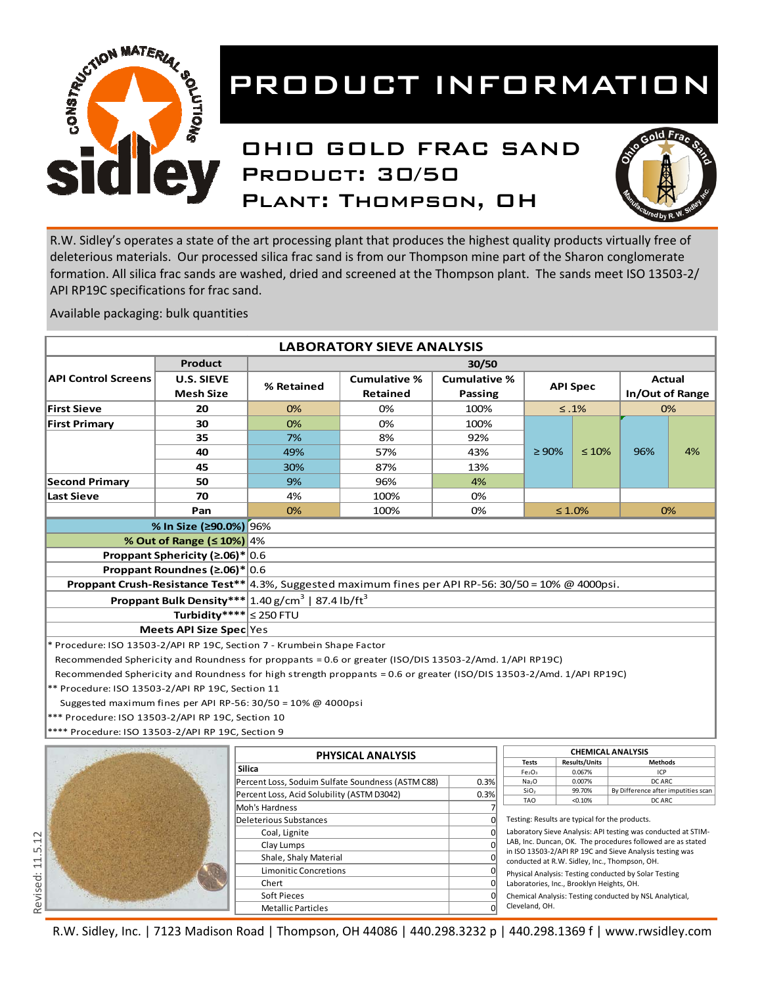

### OHIO GOLD FRAC SAND PRODUCT: 30/50 Plant: Thompson, OH



R.W. Sidley's operates a state of the art processing plant that produces the highest quality products virtually free of deleterious materials. Our processed silica frac sand is from our Thompson mine part of the Sharon conglomerate formation. All silica frac sands are washed, dried and screened at the Thompson plant. The sands meet ISO 13503-2/ API RP19C specifications for frac sand.

Available packaging: bulk quantities

|                                                                                                                      |                                 |                                                    | <b>LABORATORY SIEVE ANALYSIS</b>                  |                     |                                                |                                               |                                                               |        |
|----------------------------------------------------------------------------------------------------------------------|---------------------------------|----------------------------------------------------|---------------------------------------------------|---------------------|------------------------------------------------|-----------------------------------------------|---------------------------------------------------------------|--------|
|                                                                                                                      | <b>Product</b>                  |                                                    |                                                   | 30/50               |                                                |                                               |                                                               |        |
| <b>API Control Screens</b>                                                                                           | <b>U.S. SIEVE</b>               |                                                    | <b>Cumulative %</b>                               | <b>Cumulative %</b> |                                                |                                               |                                                               | Actual |
|                                                                                                                      | <b>Mesh Size</b>                | % Retained                                         | Retained                                          | <b>Passing</b>      |                                                | <b>API Spec</b>                               | In/Out of Range                                               |        |
| <b>First Sieve</b>                                                                                                   | 20                              | 0%                                                 | 0%                                                | 100%                |                                                | $≤.1%$                                        |                                                               | 0%     |
| <b>First Primary</b>                                                                                                 | 30                              | 0%                                                 | 0%                                                | 100%                |                                                |                                               |                                                               |        |
|                                                                                                                      | 35                              | 7%                                                 | 8%                                                | 92%                 |                                                |                                               |                                                               |        |
|                                                                                                                      |                                 |                                                    |                                                   |                     |                                                |                                               |                                                               |        |
|                                                                                                                      | 40                              | 49%                                                | 57%                                               | 43%                 | $\geq 90\%$                                    | $\leq 10\%$                                   | 96%                                                           | 4%     |
|                                                                                                                      | 45                              | 30%                                                | 87%                                               | 13%                 |                                                |                                               |                                                               |        |
| <b>Second Primary</b>                                                                                                | 50                              | 9%                                                 | 96%                                               | 4%                  |                                                |                                               |                                                               |        |
| <b>Last Sieve</b>                                                                                                    | 70                              | 4%                                                 | 100%                                              | 0%                  |                                                |                                               |                                                               |        |
|                                                                                                                      | Pan                             | 0%                                                 | 100%                                              | 0%                  |                                                | $\leq 1.0\%$                                  |                                                               | 0%     |
|                                                                                                                      | % In Size (≥90.0%) 96%          |                                                    |                                                   |                     |                                                |                                               |                                                               |        |
|                                                                                                                      | % Out of Range (≤ 10%) 4%       |                                                    |                                                   |                     |                                                |                                               |                                                               |        |
| Proppant Sphericity ( $\geq 0.06$ )* 0.6                                                                             |                                 |                                                    |                                                   |                     |                                                |                                               |                                                               |        |
|                                                                                                                      | Proppant Roundnes (≥.06)*       | 0.6                                                |                                                   |                     |                                                |                                               |                                                               |        |
|                                                                                                                      |                                 |                                                    |                                                   |                     |                                                |                                               |                                                               |        |
| $\vert$ 4.3%, Suggested maximum fines per API RP-56: 30/50 = 10% @ 4000psi.<br>Proppant Crush-Resistance Test**      |                                 |                                                    |                                                   |                     |                                                |                                               |                                                               |        |
|                                                                                                                      | <b>Proppant Bulk Density***</b> | $1.40$ g/cm <sup>3</sup>   87.4 lb/ft <sup>3</sup> |                                                   |                     |                                                |                                               |                                                               |        |
|                                                                                                                      | Turbidity**** $\leq$ 250 FTU    |                                                    |                                                   |                     |                                                |                                               |                                                               |        |
|                                                                                                                      | Meets API Size Spec Yes         |                                                    |                                                   |                     |                                                |                                               |                                                               |        |
| * Procedure: ISO 13503-2/API RP 19C, Section 7 - Krumbein Shape Factor                                               |                                 |                                                    |                                                   |                     |                                                |                                               |                                                               |        |
| Recommended Sphericity and Roundness for proppants = 0.6 or greater (ISO/DIS 13503-2/Amd. 1/API RP19C)               |                                 |                                                    |                                                   |                     |                                                |                                               |                                                               |        |
| Recommended Sphericity and Roundness for high strength proppants = 0.6 or greater (ISO/DIS 13503-2/Amd. 1/API RP19C) |                                 |                                                    |                                                   |                     |                                                |                                               |                                                               |        |
| ** Procedure: ISO 13503-2/API RP 19C, Section 11                                                                     |                                 |                                                    |                                                   |                     |                                                |                                               |                                                               |        |
| Suggested maximum fines per API RP-56: $30/50 = 10\%$ @ 4000psi                                                      |                                 |                                                    |                                                   |                     |                                                |                                               |                                                               |        |
| *** Procedure: ISO 13503-2/API RP 19C, Section 10                                                                    |                                 |                                                    |                                                   |                     |                                                |                                               |                                                               |        |
| **** Procedure: ISO 13503-2/API RP 19C, Section 9                                                                    |                                 |                                                    |                                                   |                     |                                                |                                               |                                                               |        |
|                                                                                                                      |                                 |                                                    |                                                   |                     |                                                |                                               |                                                               |        |
|                                                                                                                      |                                 |                                                    | PHYSICAL ANALYSIS                                 |                     |                                                | <b>CHEMICAL ANALYSIS</b>                      |                                                               |        |
|                                                                                                                      |                                 | <b>Silica</b>                                      |                                                   |                     | <b>Tests</b><br>Fe <sub>2</sub> O <sub>3</sub> | <b>Results/Units</b><br>0.067%                | Methods<br>ICP                                                |        |
|                                                                                                                      |                                 |                                                    | Percent Loss, Soduim Sulfate Soundness (ASTM C88) | 0.3%                | Na <sub>2</sub> O                              | 0.007%                                        | DC ARC                                                        |        |
|                                                                                                                      |                                 | Percent Loss, Acid Solubility (ASTM D3042)         |                                                   | 0.3%                | SiO <sub>2</sub>                               | 99.70%                                        | By Difference after imputities scan                           |        |
|                                                                                                                      |                                 | Moh's Hardness                                     |                                                   |                     | <b>TAO</b>                                     | < 0.10%                                       | DC ARC                                                        |        |
|                                                                                                                      |                                 | Deleterious Substances                             |                                                   | $\Omega$            | Testing: Results are typical for the products. |                                               |                                                               |        |
|                                                                                                                      |                                 | Coal, Lignite                                      |                                                   |                     |                                                |                                               | Laboratory Sieve Analysis: API testing was conducted at STIM- |        |
|                                                                                                                      |                                 | Clay Lumps                                         |                                                   |                     |                                                |                                               | LAB, Inc. Duncan, OK. The procedures followed are as stated   |        |
|                                                                                                                      |                                 | Shale, Shaly Material                              |                                                   |                     |                                                |                                               | in ISO 13503-2/API RP 19C and Sieve Analysis testing was      |        |
|                                                                                                                      |                                 | <b>Limonitic Concretions</b>                       |                                                   |                     |                                                | conducted at R.W. Sidley, Inc., Thompson, OH. |                                                               |        |
|                                                                                                                      |                                 | Chert                                              |                                                   | $\Omega$            |                                                | Laboratories, Inc., Brooklyn Heights, OH.     | Physical Analysis: Testing conducted by Solar Testing         |        |

Chemical Analysis: Testing conducted by NSL Analytical, Cleveland, OH.

R.W. Sidley, Inc. | 7123 Madison Road | Thompson, OH 44086 | 440.298.3232 p | 440.298.1369 f | www.rwsidley.com

Soft Pieces and the contract of the contract of the contract of the contract of the contract of the contract of the contract of the contract of the contract of the contract of the contract of the contract of the contract o

Metallic Particles